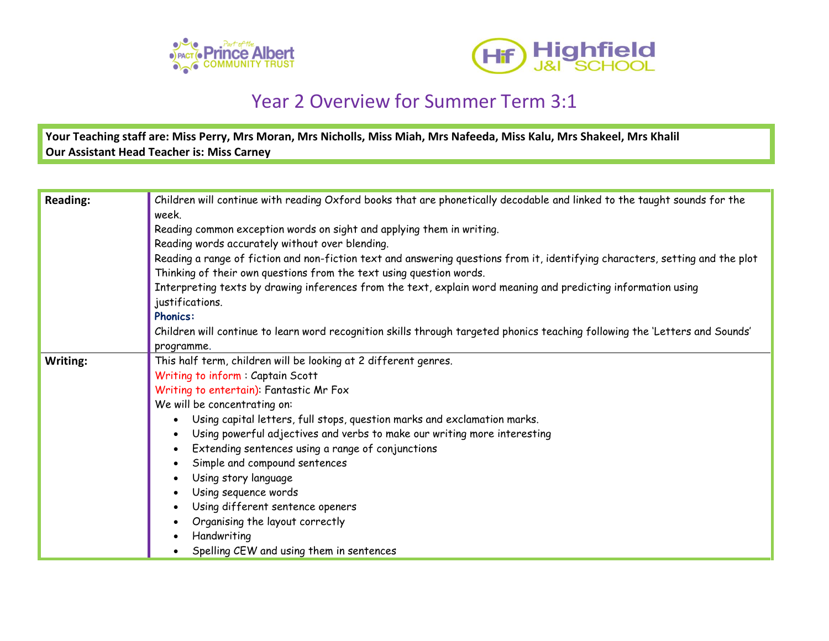



## Year 2 Overview for Summer Term 3:1

**Your Teaching staff are: Miss Perry, Mrs Moran, Mrs Nicholls, Miss Miah, Mrs Nafeeda, Miss Kalu, Mrs Shakeel, Mrs Khalil Our Assistant Head Teacher is: Miss Carney**

| Reading: | Children will continue with reading Oxford books that are phonetically decodable and linked to the taught sounds for the      |
|----------|-------------------------------------------------------------------------------------------------------------------------------|
|          | week.                                                                                                                         |
|          | Reading common exception words on sight and applying them in writing.                                                         |
|          | Reading words accurately without over blending.                                                                               |
|          | Reading a range of fiction and non-fiction text and answering questions from it, identifying characters, setting and the plot |
|          | Thinking of their own questions from the text using question words.                                                           |
|          | Interpreting texts by drawing inferences from the text, explain word meaning and predicting information using                 |
|          | justifications.                                                                                                               |
|          | <b>Phonics:</b>                                                                                                               |
|          | Children will continue to learn word recognition skills through targeted phonics teaching following the 'Letters and Sounds'  |
|          | programme.                                                                                                                    |
| Writing: | This half term, children will be looking at 2 different genres.                                                               |
|          | Writing to inform: Captain Scott                                                                                              |
|          | Writing to entertain): Fantastic Mr Fox                                                                                       |
|          | We will be concentrating on:                                                                                                  |
|          | Using capital letters, full stops, question marks and exclamation marks.                                                      |
|          | Using powerful adjectives and verbs to make our writing more interesting                                                      |
|          | Extending sentences using a range of conjunctions                                                                             |
|          | Simple and compound sentences                                                                                                 |
|          | Using story language                                                                                                          |
|          | Using sequence words                                                                                                          |
|          | Using different sentence openers                                                                                              |
|          | Organising the layout correctly                                                                                               |
|          | Handwriting                                                                                                                   |
|          | Spelling CEW and using them in sentences                                                                                      |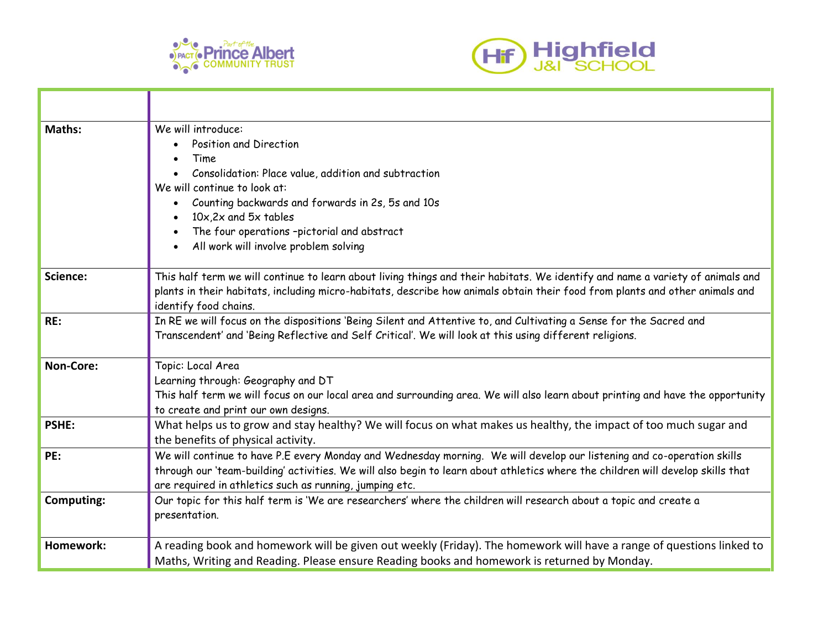



| Maths:            | We will introduce:<br>Position and Direction<br>Time<br>Consolidation: Place value, addition and subtraction<br>We will continue to look at:<br>Counting backwards and forwards in 2s, 5s and 10s<br>$\bullet$<br>$10x, 2x$ and $5x$ tables<br>The four operations -pictorial and abstract<br>All work will involve problem solving |
|-------------------|-------------------------------------------------------------------------------------------------------------------------------------------------------------------------------------------------------------------------------------------------------------------------------------------------------------------------------------|
| Science:          | This half term we will continue to learn about living things and their habitats. We identify and name a variety of animals and<br>plants in their habitats, including micro-habitats, describe how animals obtain their food from plants and other animals and<br>identify food chains.                                             |
| RE:               | In RE we will focus on the dispositions 'Being Silent and Attentive to, and Cultivating a Sense for the Sacred and<br>Transcendent' and 'Being Reflective and Self Critical'. We will look at this using different religions.                                                                                                       |
| Non-Core:         | Topic: Local Area<br>Learning through: Geography and DT<br>This half term we will focus on our local area and surrounding area. We will also learn about printing and have the opportunity<br>to create and print our own designs.                                                                                                  |
| <b>PSHE:</b>      | What helps us to grow and stay healthy? We will focus on what makes us healthy, the impact of too much sugar and<br>the benefits of physical activity.                                                                                                                                                                              |
| PE:               | We will continue to have P.E every Monday and Wednesday morning. We will develop our listening and co-operation skills<br>through our 'team-building' activities. We will also begin to learn about athletics where the children will develop skills that<br>are required in athletics such as running, jumping etc.                |
| <b>Computing:</b> | Our topic for this half term is 'We are researchers' where the children will research about a topic and create a<br>presentation.                                                                                                                                                                                                   |
| Homework:         | A reading book and homework will be given out weekly (Friday). The homework will have a range of questions linked to<br>Maths, Writing and Reading. Please ensure Reading books and homework is returned by Monday.                                                                                                                 |